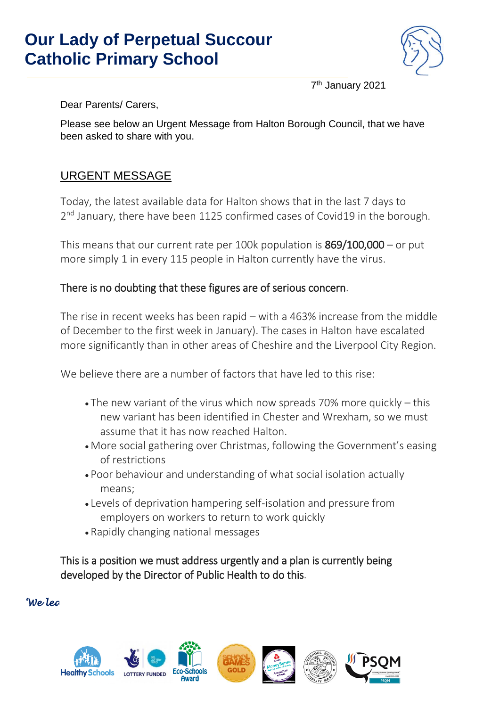## **Our Lady of Perpetual Succour Catholic Primary School**



7 th January 2021

Dear Parents/ Carers,

Please see below an Urgent Message from Halton Borough Council, that we have been asked to share with you.

### URGENT MESSAGE

Today, the latest available data for Halton shows that in the last 7 days to 2<sup>nd</sup> January, there have been 1125 confirmed cases of Covid19 in the borough.

This means that our current rate per 100k population is  $869/100,000 -$  or put more simply 1 in every 115 people in Halton currently have the virus.

### There is no doubting that these figures are of serious concern.

The rise in recent weeks has been rapid – with a 463% increase from the middle of December to the first week in January). The cases in Halton have escalated more significantly than in other areas of Cheshire and the Liverpool City Region.

We believe there are a number of factors that have led to this rise:

- The new variant of the virus which now spreads 70% more quickly this new variant has been identified in Chester and Wrexham, so we must assume that it has now reached Halton.
- More social gathering over Christmas, following the Government's easing of restrictions
- Poor behaviour and understanding of what social isolation actually means;
- Levels of deprivation hampering self-isolation and pressure from employers on workers to return to work quickly
- Rapidly changing national messages

This is a position we must address urgently and a plan is currently being developed by the Director of Public Health to do this.

#### *'We learn to love everyone as Jesus loves us'*